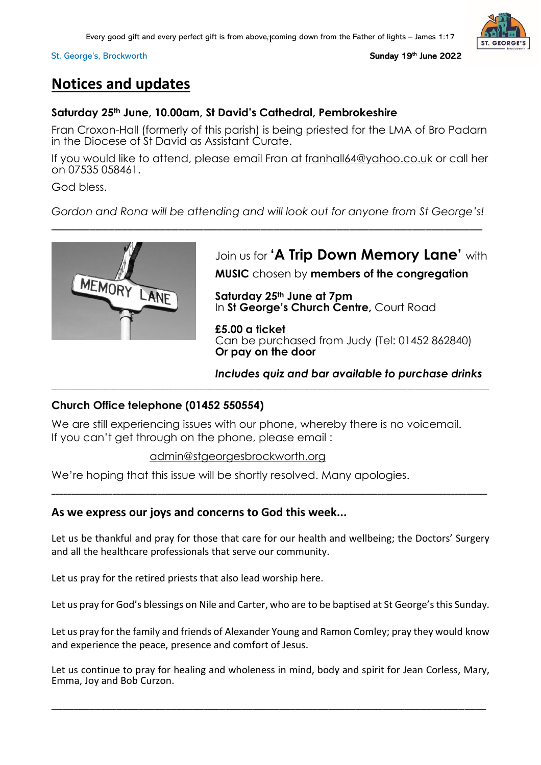Every good gift and every perfect gift is from above, $\rm{j}$ coming down from the Father of lights – James 1:17

#### St. George's, [Brockworth](http://www.stgeorgebrockworth.uk/)

<sup>th</sup> June 2022

# **Notices and updates**

### **Saturday 25th June, 10.00am, St David's Cathedral, Pembrokeshire**

Fran Croxon-Hall (formerly of this parish) is being priested for the LMA of Bro Padarn in the Diocese of St David as Assistant Curate.

If you would like to attend, please email Fran at [franhall64@yahoo.co.uk](mailto:franhall64@yahoo.co.uk) or call her on 07535 058461.

God bless.

*Gordon and Rona will be attending and will look out for anyone from St George's!*



# Join us for **'A Trip Down Memory Lane'** with

**MUSIC** chosen by **members of the congregation**

**Saturday 25th June at 7pm** In **St George's Church Centre,** Court Road

**£5.00 a ticket** Can be purchased from Judy (Tel: 01452 862840) **Or pay on the door**

*Includes quiz and bar available to purchase drinks*

# **Church Office telephone (01452 550554)**

We are still experiencing issues with our phone, whereby there is no voicemail. If you can't get through on the phone, please email :

**\_\_\_\_\_\_\_\_\_\_\_\_\_\_\_\_\_\_\_\_\_\_\_\_\_\_\_\_\_\_\_\_\_\_\_\_\_\_\_\_\_\_\_\_\_\_\_\_\_\_\_\_\_\_\_\_\_\_\_\_\_\_\_\_\_\_\_\_\_\_\_\_\_\_\_\_\_\_\_\_\_\_\_\_\_\_\_\_\_\_\_\_\_\_\_\_\_\_\_\_\_\_\_\_\_\_\_\_\_\_\_\_\_\_\_\_\_\_\_\_\_\_\_\_\_\_\_\_\_\_\_\_\_\_\_\_\_\_\_\_\_\_\_\_\_\_\_\_\_\_\_\_\_\_\_\_\_\_\_\_\_**

### [admin@stgeorgesbrockworth.org](mailto:admin@stgeorgesbrockworth.org)

We're hoping that this issue will be shortly resolved. Many apologies.

# **As we express our joys and concerns to God this week...**

Let us be thankful and pray for those that care for our health and wellbeing; the Doctors' Surgery and all the healthcare professionals that serve our community.

**\_\_\_\_\_\_\_\_\_\_\_\_\_\_\_\_\_\_\_\_\_\_\_\_\_\_\_\_\_\_\_\_\_\_\_\_\_\_\_\_\_\_\_\_\_\_\_\_\_\_\_\_\_\_\_\_\_\_\_\_\_\_\_\_\_\_\_\_\_\_\_\_\_\_\_\_\_\_\_\_\_\_\_\_\_\_\_\_\_\_\_\_\_\_\_\_\_\_\_\_\_\_\_\_\_\_\_**

Let us pray for the retired priests that also lead worship here.

Let us pray for God's blessings on Nile and Carter, who are to be baptised at St George's this Sunday.

Let us pray for the family and friends of Alexander Young and Ramon Comley; pray they would know and experience the peace, presence and comfort of Jesus.

Let us continue to pray for healing and wholeness in mind, body and spirit for Jean Corless, Mary, Emma, Joy and Bob Curzon.

\_\_\_\_\_\_\_\_\_\_\_\_\_\_\_\_\_\_\_\_\_\_\_\_\_\_\_\_\_\_\_\_\_\_\_\_\_\_\_\_\_\_\_\_\_\_\_\_\_\_\_\_\_\_\_\_\_\_\_\_\_\_\_\_\_\_\_\_\_\_\_\_\_\_\_\_\_\_\_\_

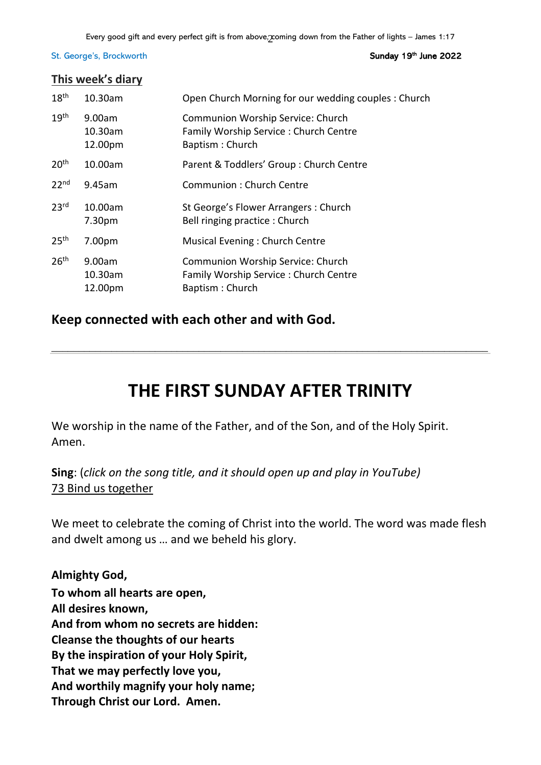### <sup>th</sup> June 2022

### **This week's diary**

| 18 <sup>th</sup> | 10.30am                      | Open Church Morning for our wedding couples: Church                                           |
|------------------|------------------------------|-----------------------------------------------------------------------------------------------|
| 19 <sup>th</sup> | 9.00am<br>10.30am<br>12.00pm | Communion Worship Service: Church<br>Family Worship Service: Church Centre<br>Baptism: Church |
| 20 <sup>th</sup> | 10.00am                      | Parent & Toddlers' Group: Church Centre                                                       |
| 22 <sup>nd</sup> | 9.45am                       | Communion: Church Centre                                                                      |
| 23 <sup>rd</sup> | 10.00am<br>7.30pm            | St George's Flower Arrangers: Church<br>Bell ringing practice: Church                         |
| 25 <sup>th</sup> | 7.00pm                       | Musical Evening: Church Centre                                                                |
| 26 <sup>th</sup> | 9.00am<br>10.30am<br>12.00pm | Communion Worship Service: Church<br>Family Worship Service: Church Centre<br>Baptism: Church |

# **Keep connected with each other and with God.**

# **THE FIRST SUNDAY AFTER TRINITY**

\_\_\_\_\_\_\_\_\_\_\_\_\_\_\_\_\_\_\_\_\_\_\_\_\_\_\_\_\_\_\_\_\_\_\_\_\_\_\_\_\_\_\_\_\_\_\_\_\_\_\_\_\_\_\_\_\_\_\_\_\_\_\_\_\_\_\_\_\_\_\_\_\_\_\_\_\_\_\_\_

We worship in the name of the Father, and of the Son, and of the Holy Spirit. Amen.

**Sing**: (*click on the song title, and it should open up and play in YouTube)* 73 Bind us [together](https://www.youtube.com/watch?v=IHJJzD46-qU)

We meet to celebrate the coming of Christ into the world. The word was made flesh and dwelt among us … and we beheld his glory.

**Almighty God, To whom all hearts are open, All desires known, And from whom no secrets are hidden: Cleanse the thoughts of our hearts By the inspiration of your Holy Spirit, That we may perfectly love you, And worthily magnify your holy name; Through Christ our Lord. Amen.**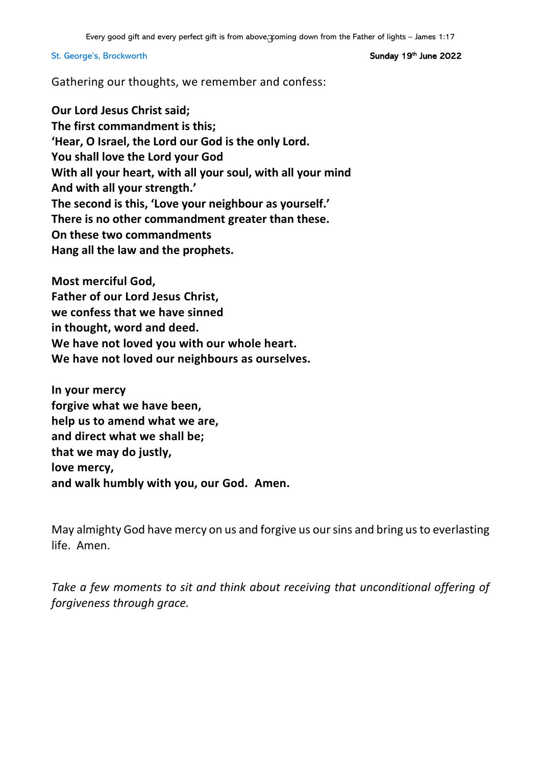<sup>th</sup> June 2022

Gathering our thoughts, we remember and confess:

**Our Lord Jesus Christ said; The first commandment is this; 'Hear, O Israel, the Lord our God is the only Lord. You shall love the Lord your God With all your heart, with all your soul, with all your mind And with all your strength.' The second is this, 'Love your neighbour as yourself.' There is no other commandment greater than these. On these two commandments Hang all the law and the prophets.**

**Most merciful God, Father of our Lord Jesus Christ, we confess that we have sinned in thought, word and deed. We have not loved you with our whole heart. We have not loved our neighbours as ourselves.**

**In your mercy forgive what we have been, help us to amend what we are, and direct what we shall be; that we may do justly, love mercy, and walk humbly with you, our God. Amen.**

May almighty God have mercy on us and forgive us our sins and bring us to everlasting life. Amen.

*Take a few moments to sit and think about receiving that unconditional offering of forgiveness through grace.*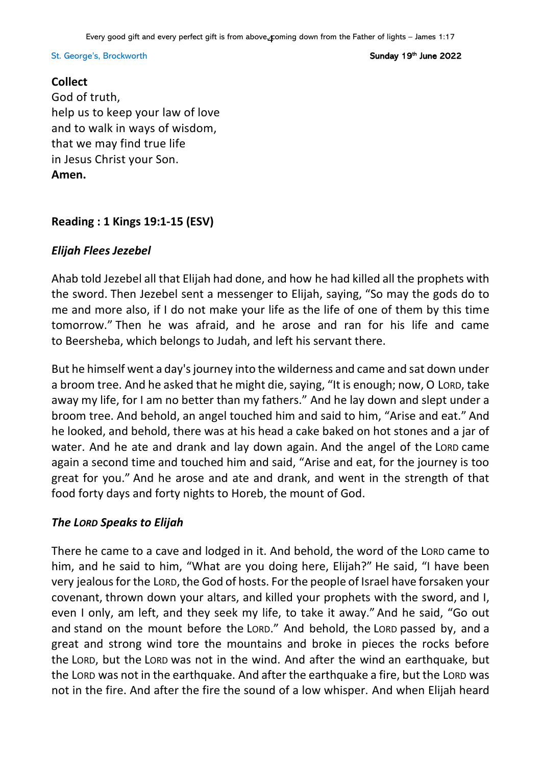<sup>th</sup> June 2022

### **Collect**

God of truth, help us to keep your law of love and to walk in ways of wisdom, that we may find true life in Jesus Christ your Son. **Amen.**

# **Reading : 1 Kings 19:1-15 (ESV)**

# *Elijah Flees Jezebel*

Ahab told Jezebel all that Elijah had done, and how he had killed all the prophets with the sword. Then Jezebel sent a messenger to Elijah, saying, "So may the gods do to me and more also, if I do not make your life as the life of one of them by this time tomorrow." Then he was afraid, and he arose and ran for his life and came to Beersheba, which belongs to Judah, and left his servant there.

But he himself went a day's journey into the wilderness and came and sat down under a broom tree. And he asked that he might die, saying, "It is enough; now, O LORD, take away my life, for I am no better than my fathers." And he lay down and slept under a broom tree. And behold, an angel touched him and said to him, "Arise and eat." And he looked, and behold, there was at his head a cake baked on hot stones and a jar of water. And he ate and drank and lay down again. And the angel of the LORD came again a second time and touched him and said, "Arise and eat, for the journey is too great for you." And he arose and ate and drank, and went in the strength of that food forty days and forty nights to Horeb, the mount of God.

# *The LORD Speaks to Elijah*

There he came to a cave and lodged in it. And behold, the word of the LORD came to him, and he said to him, "What are you doing here, Elijah?" He said, "I have been very jealous for the LORD, the God of hosts. For the people of Israel have forsaken your covenant, thrown down your altars, and killed your prophets with the sword, and I, even I only, am left, and they seek my life, to take it away." And he said, "Go out and stand on the mount before the LORD." And behold, the LORD passed by, and a great and strong wind tore the mountains and broke in pieces the rocks before the LORD, but the LORD was not in the wind. And after the wind an earthquake, but the LORD was not in the earthquake. And after the earthquake a fire, but the LORD was not in the fire. And after the fire the sound of a low whisper. And when Elijah heard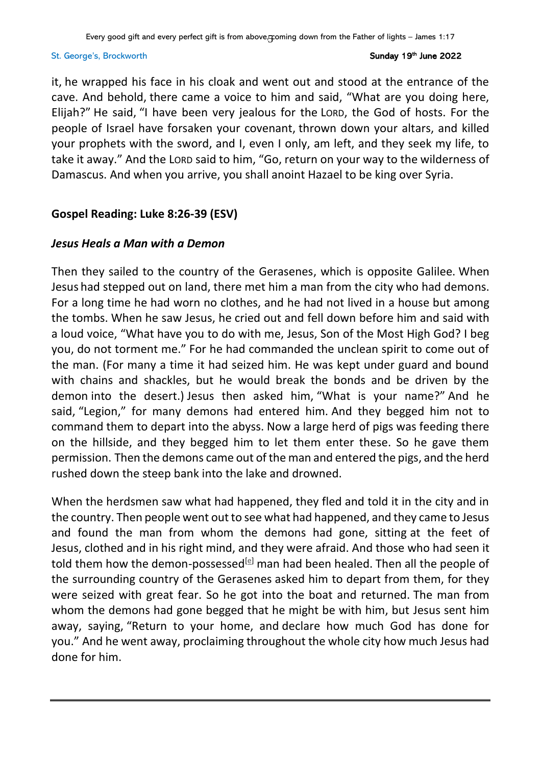it, he wrapped his face in his cloak and went out and stood at the entrance of the cave. And behold, there came a voice to him and said, "What are you doing here, Elijah?" He said, "I have been very jealous for the LORD, the God of hosts. For the people of Israel have forsaken your covenant, thrown down your altars, and killed your prophets with the sword, and I, even I only, am left, and they seek my life, to take it away." And the LORD said to him, "Go, return on your way to the wilderness of Damascus. And when you arrive, you shall anoint Hazael to be king over Syria.

# **Gospel Reading: Luke 8:26-39 (ESV)**

# *Jesus Heals a Man with a Demon*

Then they sailed to the country of the Gerasenes, which is opposite Galilee. When Jesus had stepped out on land, there met him a man from the city who had demons. For a long time he had worn no clothes, and he had not lived in a house but among the tombs. When he saw Jesus, he cried out and fell down before him and said with a loud voice, "What have you to do with me, Jesus, Son of the Most High God? I beg you, do not torment me." For he had commanded the unclean spirit to come out of the man. (For many a time it had seized him. He was kept under guard and bound with chains and shackles, but he would break the bonds and be driven by the demon into the desert.) Jesus then asked him, "What is your name?" And he said, "Legion," for many demons had entered him. And they begged him not to command them to depart into the abyss. Now a large herd of pigs was feeding there on the hillside, and they begged him to let them enter these. So he gave them permission. Then the demons came out of the man and entered the pigs, and the herd rushed down the steep bank into the lake and drowned.

When the herdsmen saw what had happened, they fled and told it in the city and in the country. Then people went out to see what had happened, and they came to Jesus and found the man from whom the demons had gone, sitting at the feet of Jesus, clothed and in his right mind, and they were afraid. And those who had seen it told them how the demon-possessed<sup>[\[e\]](https://www.biblegateway.com/passage/?search=luke+8&version=ESV#fen-ESV-25273e)</sup> man had been healed. Then all the people of the surrounding country of the Gerasenes asked him to depart from them, for they were seized with great fear. So he got into the boat and returned. The man from whom the demons had gone begged that he might be with him, but Jesus sent him away, saying, "Return to your home, and declare how much God has done for you." And he went away, proclaiming throughout the whole city how much Jesus had done for him.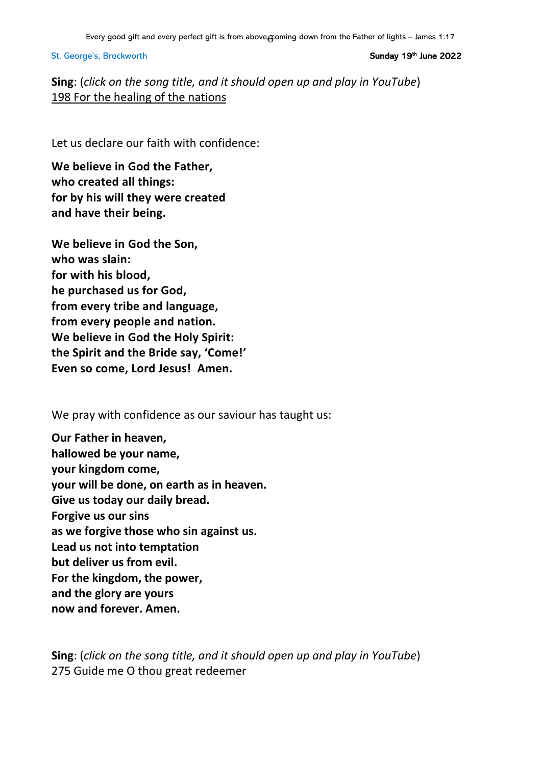<sup>th</sup> June 2022

**Sing**: (*click on the song title, and it should open up and play in YouTube*) 198 For the healing of the [nations](https://www.youtube.com/watch?v=QXtfIE6jS)

Let us declare our faith with confidence:

**We believe in God the Father, who created all things: for by his will they were created and have their being.**

**We believe in God the Son, who was slain: for with his blood, he purchased us for God, from every tribe and language, from every people and nation. We believe in God the Holy Spirit: the Spirit and the Bride say, 'Come!' Even so come, Lord Jesus! Amen.**

We pray with confidence as our saviour has taught us:

**Our Father in heaven, hallowed be your name, your kingdom come, your will be done, on earth as in heaven. Give us today our daily bread. Forgive us our sins as we forgive those who sin against us. Lead us not into temptation but deliver us from evil. For the kingdom, the power, and the glory are yours now and forever. Amen.**

**Sing**: (*click on the song title, and it should open up and play in YouTube*) 275 Guide me O thou great [redeemer](https://www.youtube.com/watch?v=5j48TLIRb4Q)